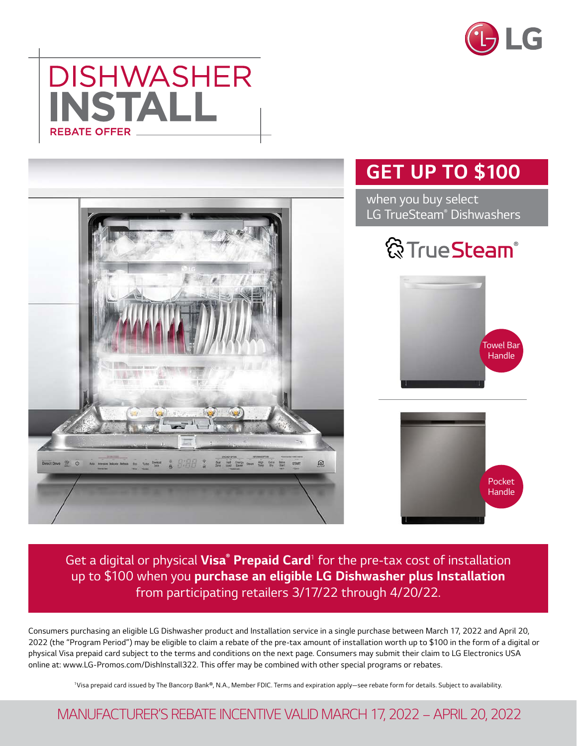





*Get a digital or physical Visa® Prepaid Card<sup>1</sup> for the pre-tax cost of installation up to \$100 when you purchase an eligible LG Dishwasher plus Installation from participating retailers 3/17/22 through 4/20/22.*

*Consumers purchasing an eligible LG Dishwasher product and Installation service in a single purchase between March 17, 2022 and April 20, 2022 (the "Program Period") may be eligible to claim a rebate of the pre-tax amount of installation worth up to \$100 in the form of a digital or physical Visa prepaid card subject to the terms and conditions on the next page. Consumers may submit their claim to LG Electronics USA online at: www.LG-Promos.com/DishInstall322. This offer may be combined with other special programs or rebates.*

*1Visa prepaid card issued by The Bancorp Bank®, N.A., Member FDIC. Terms and expiration apply—see rebate form for details. Subject to availability.*

## *MANUFACTURER'S REBATE INCENTIVE VALID MARCH 17, 2022 – APRIL 20, 2022*